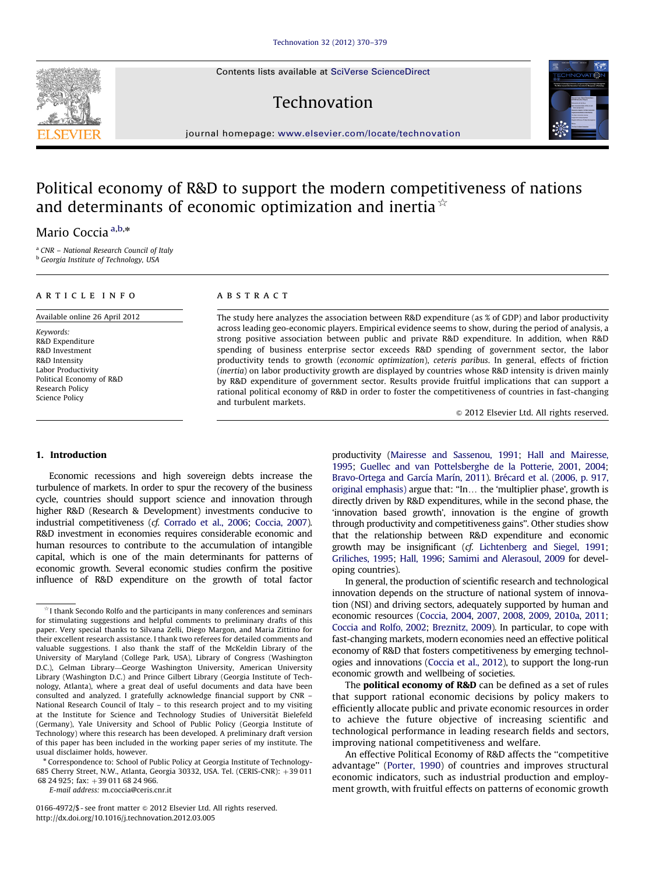Contents lists available at [SciVerse ScienceDirect](www.elsevier.com/locate/technovation)

## Technovation



journal homepage: <www.elsevier.com/locate/technovation>

# Political economy of R&D to support the modern competitiveness of nations and determinants of economic optimization and inertia  $\dot{\mathbf{x}}$

### Mario Coccia a,b,\*

<sup>a</sup> CNR – National Research Council of Italy

**b** Georgia Institute of Technology, USA

#### article info

Available online 26 April 2012

Keywords: R&D Expenditure R&D Investment R&D Intensity Labor Productivity Political Economy of R&D Research Policy Science Policy

#### **ABSTRACT**

The study here analyzes the association between R&D expenditure (as % of GDP) and labor productivity across leading geo-economic players. Empirical evidence seems to show, during the period of analysis, a strong positive association between public and private R&D expenditure. In addition, when R&D spending of business enterprise sector exceeds R&D spending of government sector, the labor productivity tends to growth (economic optimization), ceteris paribus. In general, effects of friction (inertia) on labor productivity growth are displayed by countries whose R&D intensity is driven mainly by R&D expenditure of government sector. Results provide fruitful implications that can support a rational political economy of R&D in order to foster the competitiveness of countries in fast-changing and turbulent markets.

 $\odot$  2012 Elsevier Ltd. All rights reserved.

#### 1. Introduction

Economic recessions and high sovereign debts increase the turbulence of markets. In order to spur the recovery of the business cycle, countries should support science and innovation through higher R&D (Research & Development) investments conducive to industrial competitiveness (cf. [Corrado et al., 2006](#page--1-0); [Coccia, 2007\)](#page--1-0). R&D investment in economies requires considerable economic and human resources to contribute to the accumulation of intangible capital, which is one of the main determinants for patterns of economic growth. Several economic studies confirm the positive influence of R&D expenditure on the growth of total factor productivity ([Mairesse and Sassenou, 1991;](#page--1-0) [Hall and Mairesse,](#page--1-0) [1995](#page--1-0); [Guellec and van Pottelsberghe de la Potterie, 2001](#page--1-0), [2004;](#page--1-0) Bravo-Ortega and García Marín, 2011). Brécard et al. (2006, p. 917, [original emphasis\)](#page--1-0) argue that: "In... the 'multiplier phase', growth is directly driven by R&D expenditures, while in the second phase, the 'innovation based growth', innovation is the engine of growth through productivity and competitiveness gains''. Other studies show that the relationship between R&D expenditure and economic growth may be insignificant (cf. [Lichtenberg and Siegel, 1991;](#page--1-0) [Griliches, 1995](#page--1-0); [Hall, 1996](#page--1-0); [Samimi and Alerasoul, 2009](#page--1-0) for developing countries).

In general, the production of scientific research and technological innovation depends on the structure of national system of innovation (NSI) and driving sectors, adequately supported by human and economic resources [\(Coccia, 2004](#page--1-0), [2007,](#page--1-0) [2008](#page--1-0), [2009,](#page--1-0) [2010a](#page--1-0), [2011;](#page--1-0) [Coccia and Rolfo, 2002](#page--1-0); [Breznitz, 2009](#page--1-0)). In particular, to cope with fast-changing markets, modern economies need an effective political economy of R&D that fosters competitiveness by emerging technologies and innovations [\(Coccia et al., 2012\)](#page--1-0), to support the long-run economic growth and wellbeing of societies.

The **political economy of R&D** can be defined as a set of rules that support rational economic decisions by policy makers to efficiently allocate public and private economic resources in order to achieve the future objective of increasing scientific and technological performance in leading research fields and sectors, improving national competitiveness and welfare.

An effective Political Economy of R&D affects the ''competitive advantage'' ([Porter, 1990](#page--1-0)) of countries and improves structural economic indicators, such as industrial production and employment growth, with fruitful effects on patterns of economic growth



 $*$ I thank Secondo Rolfo and the participants in many conferences and seminars for stimulating suggestions and helpful comments to preliminary drafts of this paper. Very special thanks to Silvana Zelli, Diego Margon, and Maria Zittino for their excellent research assistance. I thank two referees for detailed comments and valuable suggestions. I also thank the staff of the McKeldin Library of the University of Maryland (College Park, USA), Library of Congress (Washington D.C.), Gelman Library—George Washington University, American University Library (Washington D.C.) and Prince Gilbert Library (Georgia Institute of Technology, Atlanta), where a great deal of useful documents and data have been consulted and analyzed. I gratefully acknowledge financial support by CNR – National Research Council of Italy – to this research project and to my visiting at the Institute for Science and Technology Studies of Universitat Bielefeld ¨ (Germany), Yale University and School of Public Policy (Georgia Institute of Technology) where this research has been developed. A preliminary draft version of this paper has been included in the working paper series of my institute. The usual disclaimer holds, however.

<sup>\*</sup> Correspondence to: School of Public Policy at Georgia Institute of Technology-685 Cherry Street, N.W., Atlanta, Georgia 30332, USA. Tel. (CERIS-CNR): +39 011 68 24 925; fax: +39 011 68 24 966.

E-mail address: [m.coccia@ceris.cnr.it](mailto:m.coccia@ceris.cnr.it)

<sup>0166-4972/\$ -</sup> see front matter  $\odot$  2012 Elsevier Ltd. All rights reserved. http://dx.doi.org/[10.1016/j.technovation.2012.03.005](dx.doi.org/10.1016/j.technovation.2012.03.005)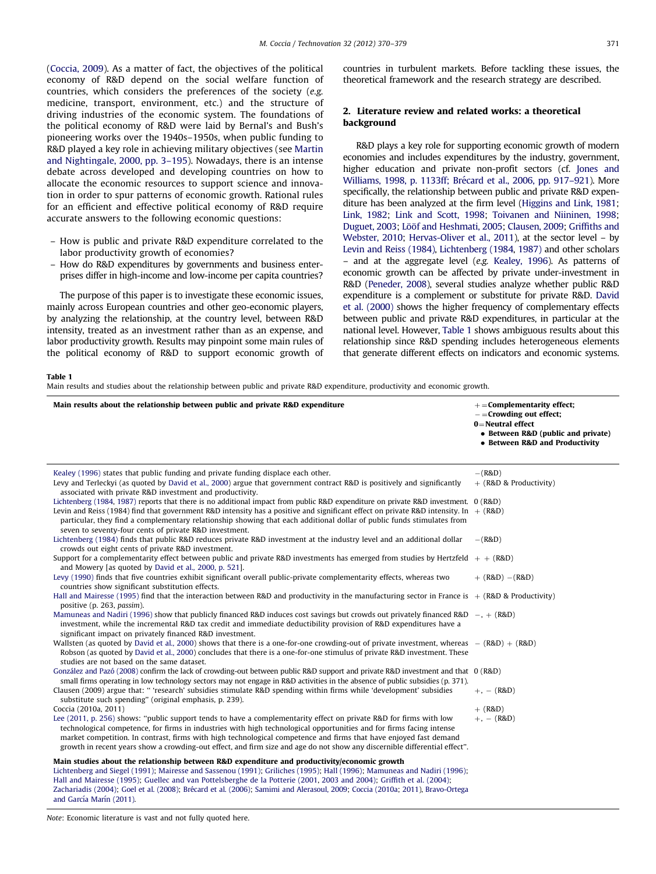([Coccia, 2009](#page--1-0)). As a matter of fact, the objectives of the political economy of R&D depend on the social welfare function of countries, which considers the preferences of the society (e.g. medicine, transport, environment, etc.) and the structure of driving industries of the economic system. The foundations of the political economy of R&D were laid by Bernal's and Bush's pioneering works over the 1940s–1950s, when public funding to R&D played a key role in achieving military objectives (see [Martin](#page--1-0) [and Nightingale, 2000, pp. 3–195](#page--1-0)). Nowadays, there is an intense debate across developed and developing countries on how to allocate the economic resources to support science and innovation in order to spur patterns of economic growth. Rational rules for an efficient and effective political economy of R&D require accurate answers to the following economic questions:

- How is public and private R&D expenditure correlated to the labor productivity growth of economies?
- How do R&D expenditures by governments and business enterprises differ in high-income and low-income per capita countries?

The purpose of this paper is to investigate these economic issues, mainly across European countries and other geo-economic players, by analyzing the relationship, at the country level, between R&D intensity, treated as an investment rather than as an expense, and labor productivity growth. Results may pinpoint some main rules of the political economy of R&D to support economic growth of countries in turbulent markets. Before tackling these issues, the theoretical framework and the research strategy are described.

#### 2. Literature review and related works: a theoretical background

R&D plays a key role for supporting economic growth of modern economies and includes expenditures by the industry, government, higher education and private non-profit sectors (cf. [Jones and](#page--1-0) Williams, 1998, p. 1133ff; Brécard et al., 2006, pp. 917–921). More specifically, the relationship between public and private R&D expenditure has been analyzed at the firm level [\(Higgins and Link, 1981;](#page--1-0) [Link, 1982;](#page--1-0) [Link and Scott, 1998](#page--1-0); [Toivanen and Niininen, 1998;](#page--1-0) [Duguet, 2003](#page--1-0); [L](#page--1-0)ööf and Heshmati, 2005; [Clausen, 2009;](#page--1-0) [Griffiths and](#page--1-0) [Webster, 2010;](#page--1-0) [Hervas-Oliver et al., 2011\)](#page--1-0), at the sector level – by [Levin and Reiss \(1984\),](#page--1-0) [Lichtenberg \(1984](#page--1-0), [1987\)](#page--1-0) and other scholars – and at the aggregate level (e.g. [Kealey, 1996\)](#page--1-0). As patterns of economic growth can be affected by private under-investment in R&D [\(Peneder, 2008](#page--1-0)), several studies analyze whether public R&D expenditure is a complement or substitute for private R&D. [David](#page--1-0) [et al. \(2000\)](#page--1-0) shows the higher frequency of complementary effects between public and private R&D expenditures, in particular at the national level. However, Table 1 shows ambiguous results about this relationship since R&D spending includes heterogeneous elements that generate different effects on indicators and economic systems.

#### Table 1

Main results and studies about the relationship between public and private R&D expenditure, productivity and economic growth.

| Main results about the relationship between public and private R&D expenditure                                                                                                                                                                                                                                                                                                                                                                                                                                | $+=$ Complementarity effect;<br>$-$ = Crowding out effect;<br>$0 =$ Neutral effect<br>• Between R&D (public and private)<br>• Between R&D and Productivity |
|---------------------------------------------------------------------------------------------------------------------------------------------------------------------------------------------------------------------------------------------------------------------------------------------------------------------------------------------------------------------------------------------------------------------------------------------------------------------------------------------------------------|------------------------------------------------------------------------------------------------------------------------------------------------------------|
| Kealey (1996) states that public funding and private funding displace each other.<br>Levy and Terleckyi (as quoted by David et al., 2000) argue that government contract R&D is positively and significantly<br>associated with private R&D investment and productivity.                                                                                                                                                                                                                                      | $-(R&D)$<br>+ (R&D & Productivity)                                                                                                                         |
| Lichtenberg (1984, 1987) reports that there is no additional impact from public R&D expenditure on private R&D investment. 0 (R&D)<br>Levin and Reiss (1984) find that government R&D intensity has a positive and significant effect on private R&D intensity. In $+$ (R&D)<br>particular, they find a complementary relationship showing that each additional dollar of public funds stimulates from<br>seven to seventy-four cents of private R&D investment.                                              |                                                                                                                                                            |
| Lichtenberg (1984) finds that public R&D reduces private R&D investment at the industry level and an additional dollar<br>crowds out eight cents of private R&D investment.                                                                                                                                                                                                                                                                                                                                   | $-(R&D)$                                                                                                                                                   |
| Support for a complementarity effect between public and private R&D investments has emerged from studies by Hertzfeld $+$ + (R&D)<br>and Mowery [as quoted by David et al., 2000, p. 521].                                                                                                                                                                                                                                                                                                                    |                                                                                                                                                            |
| Levy (1990) finds that five countries exhibit significant overall public-private complementarity effects, whereas two<br>countries show significant substitution effects.                                                                                                                                                                                                                                                                                                                                     | $+$ (R&D) $-$ (R&D)                                                                                                                                        |
| Hall and Mairesse (1995) find that the interaction between R&D and productivity in the manufacturing sector in France is $+$ (R&D & Productivity)<br>positive (p. 263, passim).                                                                                                                                                                                                                                                                                                                               |                                                                                                                                                            |
| Mamuneas and Nadiri (1996) show that publicly financed R&D induces cost savings but crowds out privately financed R&D $-$ , $+$ (R&D)<br>investment, while the incremental R&D tax credit and immediate deductibility provision of R&D expenditures have a<br>significant impact on privately financed R&D investment.                                                                                                                                                                                        |                                                                                                                                                            |
| Wallsten (as quoted by David et al., 2000) shows that there is a one-for-one crowding-out of private investment, whereas $-(R\&D) + (R\&D)$<br>Robson (as quoted by David et al., 2000) concludes that there is a one-for-one stimulus of private R&D investment. These<br>studies are not based on the same dataset.                                                                                                                                                                                         |                                                                                                                                                            |
| González and Pazó (2008) confirm the lack of crowding-out between public R&D support and private R&D investment and that 0 (R&D)<br>small firms operating in low technology sectors may not engage in R&D activities in the absence of public subsidies (p. 371).                                                                                                                                                                                                                                             |                                                                                                                                                            |
| Clausen (2009) argue that: " 'research' subsidies stimulate R&D spending within firms while 'development' subsidies<br>substitute such spending" (original emphasis, p. 239).                                                                                                                                                                                                                                                                                                                                 | $+, -$ (R&D)                                                                                                                                               |
| Coccia (2010a, 2011)                                                                                                                                                                                                                                                                                                                                                                                                                                                                                          | $+$ (R&D)                                                                                                                                                  |
| Lee (2011, p. 256) shows: "public support tends to have a complementarity effect on private R&D for firms with low<br>technological competence, for firms in industries with high technological opportunities and for firms facing intense<br>market competition. In contrast, firms with high technological competence and firms that have enjoyed fast demand<br>growth in recent years show a crowding-out effect, and firm size and age do not show any discernible differential effect".                 | $+, -$ (R&D)                                                                                                                                               |
| Main studies about the relationship between R&D expenditure and productivity/economic growth<br>Lichtenberg and Siegel (1991); Mairesse and Sassenou (1991); Griliches (1995); Hall (1996); Mamuneas and Nadiri (1996);<br>Hall and Mairesse (1995); Guellec and van Pottelsberghe de la Potterie (2001, 2003 and 2004); Griffith et al. (2004);<br>Zachariadis (2004); Goel et al. (2008); Brécard et al. (2006); Samimi and Alerasoul, 2009; Coccia (2010a; 2011), Bravo-Ortega<br>and García Marín (2011). |                                                                                                                                                            |

Note: Economic literature is vast and not fully quoted here.